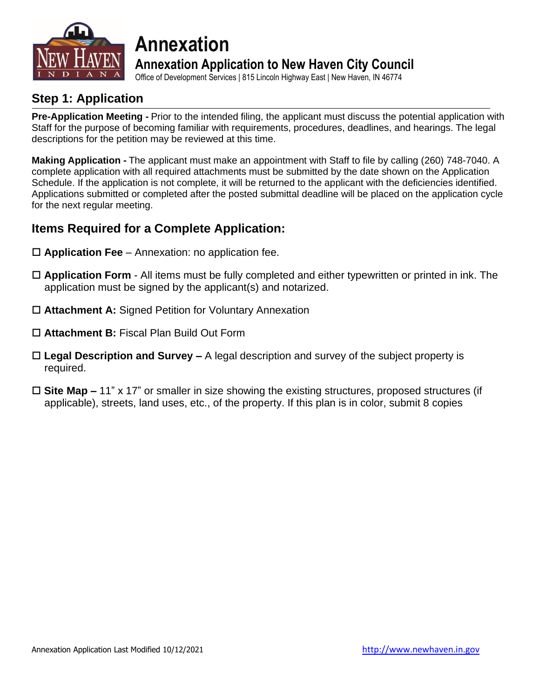

# **Annexation Annexation Application to New Haven City Council**

Office of Development Services | 815 Lincoln Highway East | New Haven, IN 46774

### **Step 1: Application**

**Pre-Application Meeting -** Prior to the intended filing, the applicant must discuss the potential application with Staff for the purpose of becoming familiar with requirements, procedures, deadlines, and hearings. The legal descriptions for the petition may be reviewed at this time.

**Making Application -** The applicant must make an appointment with Staff to file by calling (260) 748-7040. A complete application with all required attachments must be submitted by the date shown on the Application Schedule. If the application is not complete, it will be returned to the applicant with the deficiencies identified. Applications submitted or completed after the posted submittal deadline will be placed on the application cycle for the next regular meeting.

### **Items Required for a Complete Application:**

- **Application Fee** Annexation: no application fee.
- **Application Form** All items must be fully completed and either typewritten or printed in ink. The application must be signed by the applicant(s) and notarized.
- **Attachment A:** Signed Petition for Voluntary Annexation
- **Attachment B:** Fiscal Plan Build Out Form
- **Legal Description and Survey –** A legal description and survey of the subject property is required.
- **Site Map –** 11" x 17" or smaller in size showing the existing structures, proposed structures (if applicable), streets, land uses, etc., of the property. If this plan is in color, submit 8 copies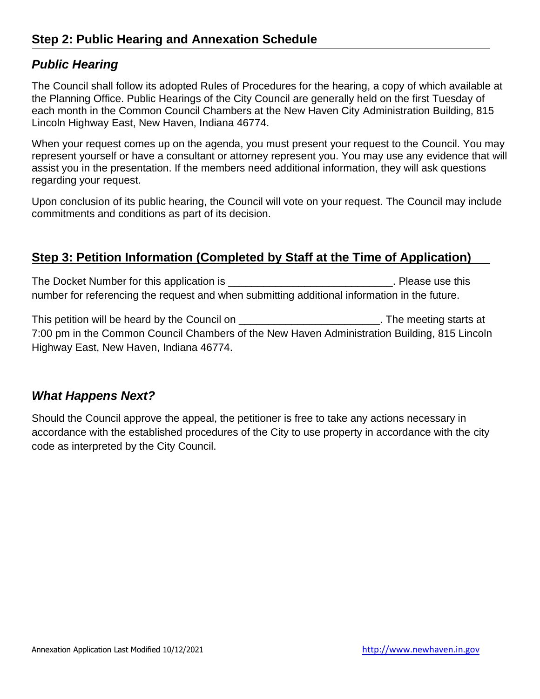#### *Public Hearing*

The Council shall follow its adopted Rules of Procedures for the hearing, a copy of which available at the Planning Office. Public Hearings of the City Council are generally held on the first Tuesday of each month in the Common Council Chambers at the New Haven City Administration Building, 815 Lincoln Highway East, New Haven, Indiana 46774.

When your request comes up on the agenda, you must present your request to the Council. You may represent yourself or have a consultant or attorney represent you. You may use any evidence that will assist you in the presentation. If the members need additional information, they will ask questions regarding your request.

Upon conclusion of its public hearing, the Council will vote on your request. The Council may include commitments and conditions as part of its decision.

### **Step 3: Petition Information (Completed by Staff at the Time of Application)**

The Docket Number for this application is \_\_\_\_\_\_\_\_\_\_\_\_\_\_\_\_\_\_\_\_\_\_\_\_\_\_\_\_\_\_\_\_. Please use this number for referencing the request and when submitting additional information in the future.

This petition will be heard by the Council on \_\_\_\_\_\_\_\_\_\_\_\_\_\_\_\_\_\_\_\_\_\_\_\_\_\_\_\_. The meeting starts at 7:00 pm in the Common Council Chambers of the New Haven Administration Building, 815 Lincoln Highway East, New Haven, Indiana 46774.

### *What Happens Next?*

Should the Council approve the appeal, the petitioner is free to take any actions necessary in accordance with the established procedures of the City to use property in accordance with the city code as interpreted by the City Council.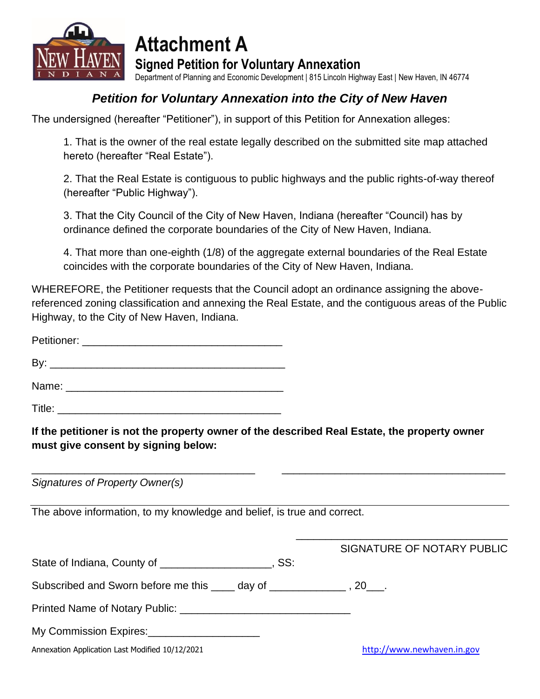

**Attachment A Signed Petition for Voluntary Annexation**

Department of Planning and Economic Development | 815 Lincoln Highway East | New Haven, IN 46774

## *Petition for Voluntary Annexation into the City of New Haven*

The undersigned (hereafter "Petitioner"), in support of this Petition for Annexation alleges:

1. That is the owner of the real estate legally described on the submitted site map attached hereto (hereafter "Real Estate").

2. That the Real Estate is contiguous to public highways and the public rights-of-way thereof (hereafter "Public Highway").

3. That the City Council of the City of New Haven, Indiana (hereafter "Council) has by ordinance defined the corporate boundaries of the City of New Haven, Indiana.

4. That more than one-eighth (1/8) of the aggregate external boundaries of the Real Estate coincides with the corporate boundaries of the City of New Haven, Indiana.

WHEREFORE, the Petitioner requests that the Council adopt an ordinance assigning the abovereferenced zoning classification and annexing the Real Estate, and the contiguous areas of the Public Highway, to the City of New Haven, Indiana.

Petitioner: \_\_\_\_\_\_\_\_\_\_\_\_\_\_\_\_\_\_\_\_\_\_\_\_\_\_\_\_\_\_\_\_\_\_

 $\mathsf{By:}$ Name: \_\_\_\_\_\_\_\_\_\_\_\_\_\_\_\_\_\_\_\_\_\_\_\_\_\_\_\_\_\_\_\_\_\_\_\_\_

 $\mathsf{Title:}\hspace{2em}$ 

**If the petitioner is not the property owner of the described Real Estate, the property owner must give consent by signing below:**

\_\_\_\_\_\_\_\_\_\_\_\_\_\_\_\_\_\_\_\_\_\_\_\_\_\_\_\_\_\_\_\_\_\_\_\_\_\_ \_\_\_\_\_\_\_\_\_\_\_\_\_\_\_\_\_\_\_\_\_\_\_\_\_\_\_\_\_\_\_\_\_\_\_\_\_\_

*Signatures of Property Owner(s)*

The above information, to my knowledge and belief, is true and correct.

|                                                       | SIGNATURE OF NOTARY PUBLIC |
|-------------------------------------------------------|----------------------------|
|                                                       | . SS:                      |
|                                                       |                            |
| Printed Name of Notary Public: Name of Notary Public: |                            |
| My Commission Expires: My Commission Expires:         |                            |
| Annexation Application Last Modified 10/12/2021       | http://www.newhaven.in.gov |